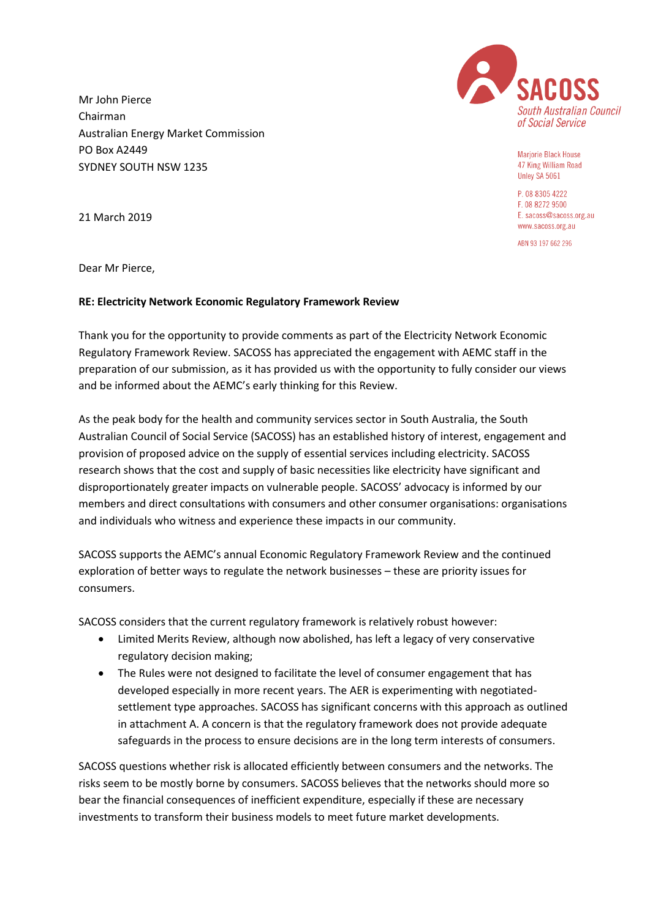

Mariorie Black House 47 King William Road Unley SA 5061

P. 08 8305 4222 F. 08 8272 9500 F. sacoss@sacoss.org.au www.sacoss.org.au

ARN 93 197 662 296

Dear Mr Pierce,

21 March 2019

Mr John Pierce Chairman

PO Box A2449

SYDNEY SOUTH NSW 1235

Australian Energy Market Commission

## **RE: Electricity Network Economic Regulatory Framework Review**

Thank you for the opportunity to provide comments as part of the Electricity Network Economic Regulatory Framework Review. SACOSS has appreciated the engagement with AEMC staff in the preparation of our submission, as it has provided us with the opportunity to fully consider our views and be informed about the AEMC's early thinking for this Review.

As the peak body for the health and community services sector in South Australia, the South Australian Council of Social Service (SACOSS) has an established history of interest, engagement and provision of proposed advice on the supply of essential services including electricity. SACOSS research shows that the cost and supply of basic necessities like electricity have significant and disproportionately greater impacts on vulnerable people. SACOSS' advocacy is informed by our members and direct consultations with consumers and other consumer organisations: organisations and individuals who witness and experience these impacts in our community.

SACOSS supports the AEMC's annual Economic Regulatory Framework Review and the continued exploration of better ways to regulate the network businesses – these are priority issues for consumers.

SACOSS considers that the current regulatory framework is relatively robust however:

- Limited Merits Review, although now abolished, has left a legacy of very conservative regulatory decision making;
- The Rules were not designed to facilitate the level of consumer engagement that has developed especially in more recent years. The AER is experimenting with negotiatedsettlement type approaches. SACOSS has significant concerns with this approach as outlined in attachment A. A concern is that the regulatory framework does not provide adequate safeguards in the process to ensure decisions are in the long term interests of consumers.

SACOSS questions whether risk is allocated efficiently between consumers and the networks. The risks seem to be mostly borne by consumers. SACOSS believes that the networks should more so bear the financial consequences of inefficient expenditure, especially if these are necessary investments to transform their business models to meet future market developments.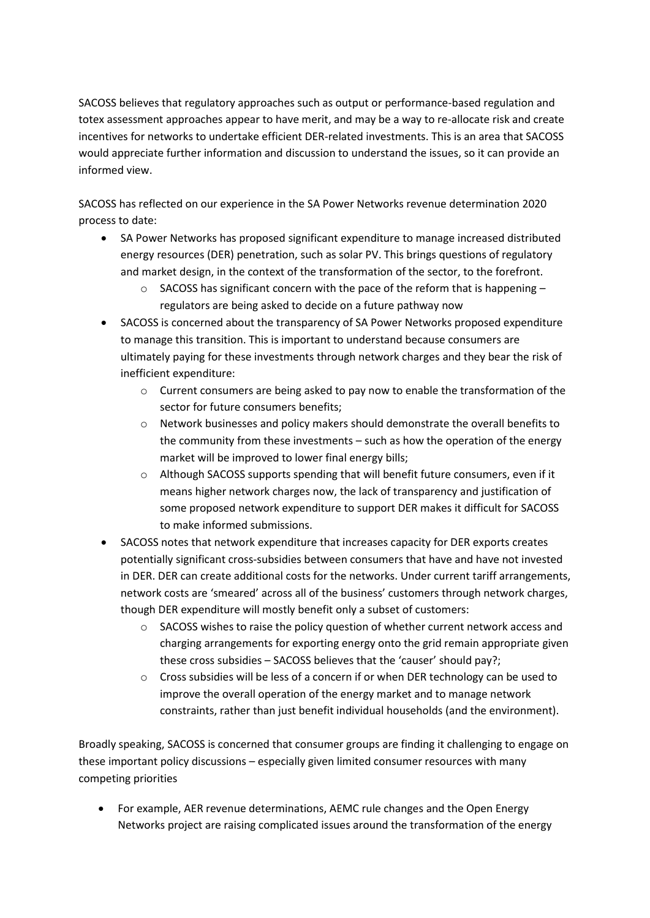SACOSS believes that regulatory approaches such as output or performance-based regulation and totex assessment approaches appear to have merit, and may be a way to re-allocate risk and create incentives for networks to undertake efficient DER-related investments. This is an area that SACOSS would appreciate further information and discussion to understand the issues, so it can provide an informed view.

SACOSS has reflected on our experience in the SA Power Networks revenue determination 2020 process to date:

- SA Power Networks has proposed significant expenditure to manage increased distributed energy resources (DER) penetration, such as solar PV. This brings questions of regulatory and market design, in the context of the transformation of the sector, to the forefront.
	- $\circ$  SACOSS has significant concern with the pace of the reform that is happening regulators are being asked to decide on a future pathway now
- SACOSS is concerned about the transparency of SA Power Networks proposed expenditure to manage this transition. This is important to understand because consumers are ultimately paying for these investments through network charges and they bear the risk of inefficient expenditure:
	- $\circ$  Current consumers are being asked to pay now to enable the transformation of the sector for future consumers benefits;
	- o Network businesses and policy makers should demonstrate the overall benefits to the community from these investments – such as how the operation of the energy market will be improved to lower final energy bills;
	- o Although SACOSS supports spending that will benefit future consumers, even if it means higher network charges now, the lack of transparency and justification of some proposed network expenditure to support DER makes it difficult for SACOSS to make informed submissions.
- SACOSS notes that network expenditure that increases capacity for DER exports creates potentially significant cross-subsidies between consumers that have and have not invested in DER. DER can create additional costs for the networks. Under current tariff arrangements, network costs are 'smeared' across all of the business' customers through network charges, though DER expenditure will mostly benefit only a subset of customers:
	- $\circ$  SACOSS wishes to raise the policy question of whether current network access and charging arrangements for exporting energy onto the grid remain appropriate given these cross subsidies – SACOSS believes that the 'causer' should pay?;
	- $\circ$  Cross subsidies will be less of a concern if or when DER technology can be used to improve the overall operation of the energy market and to manage network constraints, rather than just benefit individual households (and the environment).

Broadly speaking, SACOSS is concerned that consumer groups are finding it challenging to engage on these important policy discussions – especially given limited consumer resources with many competing priorities

 For example, AER revenue determinations, AEMC rule changes and the Open Energy Networks project are raising complicated issues around the transformation of the energy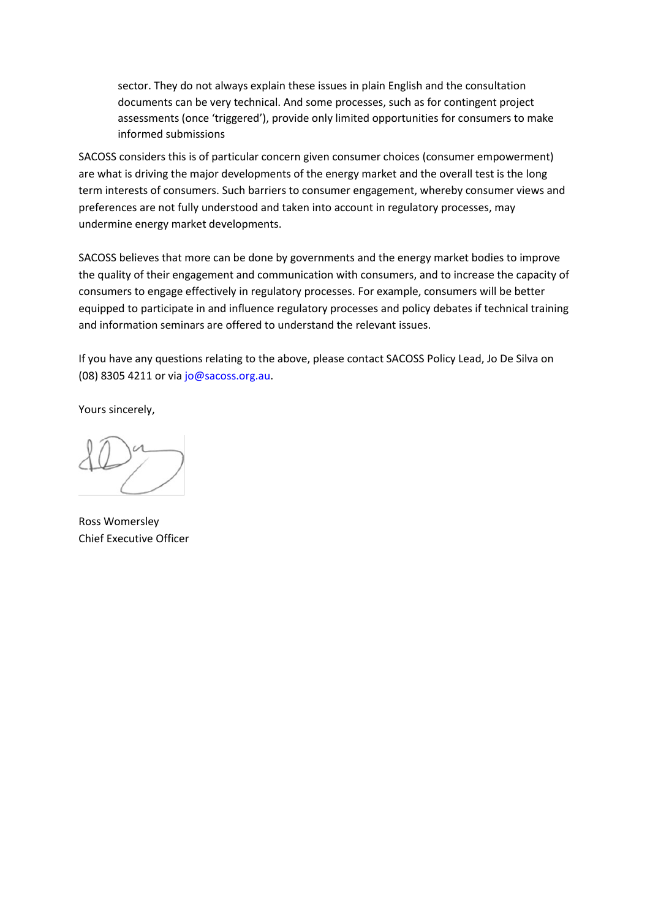sector. They do not always explain these issues in plain English and the consultation documents can be very technical. And some processes, such as for contingent project assessments (once 'triggered'), provide only limited opportunities for consumers to make informed submissions

SACOSS considers this is of particular concern given consumer choices (consumer empowerment) are what is driving the major developments of the energy market and the overall test is the long term interests of consumers. Such barriers to consumer engagement, whereby consumer views and preferences are not fully understood and taken into account in regulatory processes, may undermine energy market developments.

SACOSS believes that more can be done by governments and the energy market bodies to improve the quality of their engagement and communication with consumers, and to increase the capacity of consumers to engage effectively in regulatory processes. For example, consumers will be better equipped to participate in and influence regulatory processes and policy debates if technical training and information seminars are offered to understand the relevant issues.

If you have any questions relating to the above, please contact SACOSS Policy Lead, Jo De Silva on (08) 8305 4211 or via jo@sacoss.org.au.

Yours sincerely,

Ross Womersley Chief Executive Officer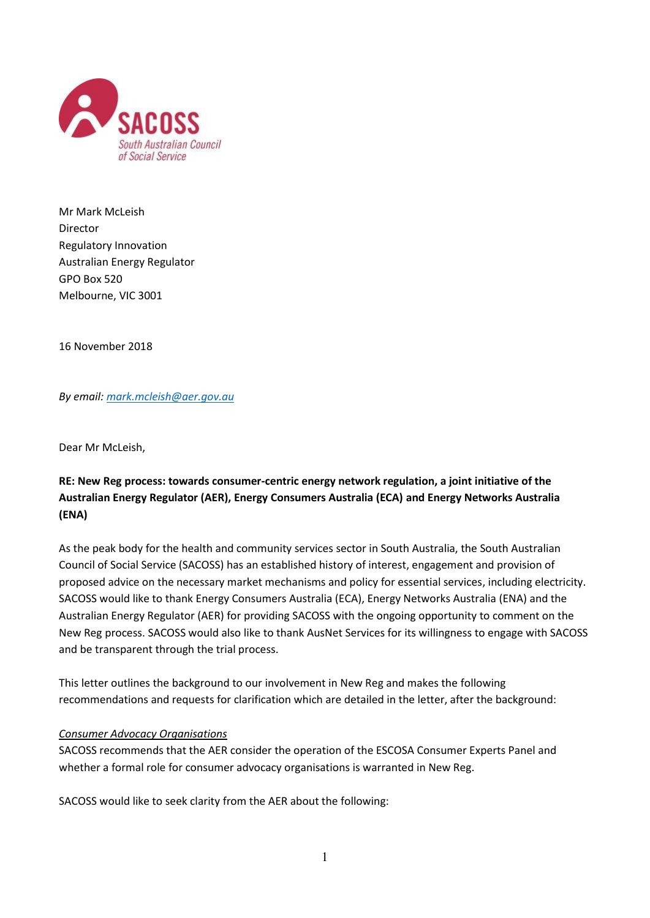

Mr Mark McLeish Director Regulatory Innovation Australian Energy Regulator GPO Box 520 Melbourne, VIC 3001

16 November 2018

*By email[: mark.mcleish@aer.gov.au](mailto:mark.mcleish@aer.gov.au)* 

Dear Mr McLeish,

# **RE: New Reg process: towards consumer-centric energy network regulation, a joint initiative of the Australian Energy Regulator (AER), Energy Consumers Australia (ECA) and Energy Networks Australia (ENA)**

As the peak body for the health and community services sector in South Australia, the South Australian Council of Social Service (SACOSS) has an established history of interest, engagement and provision of proposed advice on the necessary market mechanisms and policy for essential services, including electricity. SACOSS would like to thank Energy Consumers Australia (ECA), Energy Networks Australia (ENA) and the Australian Energy Regulator (AER) for providing SACOSS with the ongoing opportunity to comment on the New Reg process. SACOSS would also like to thank AusNet Services for its willingness to engage with SACOSS and be transparent through the trial process.

This letter outlines the background to our involvement in New Reg and makes the following recommendations and requests for clarification which are detailed in the letter, after the background:

### *Consumer Advocacy Organisations*

SACOSS recommends that the AER consider the operation of the ESCOSA Consumer Experts Panel and whether a formal role for consumer advocacy organisations is warranted in New Reg.

SACOSS would like to seek clarity from the AER about the following: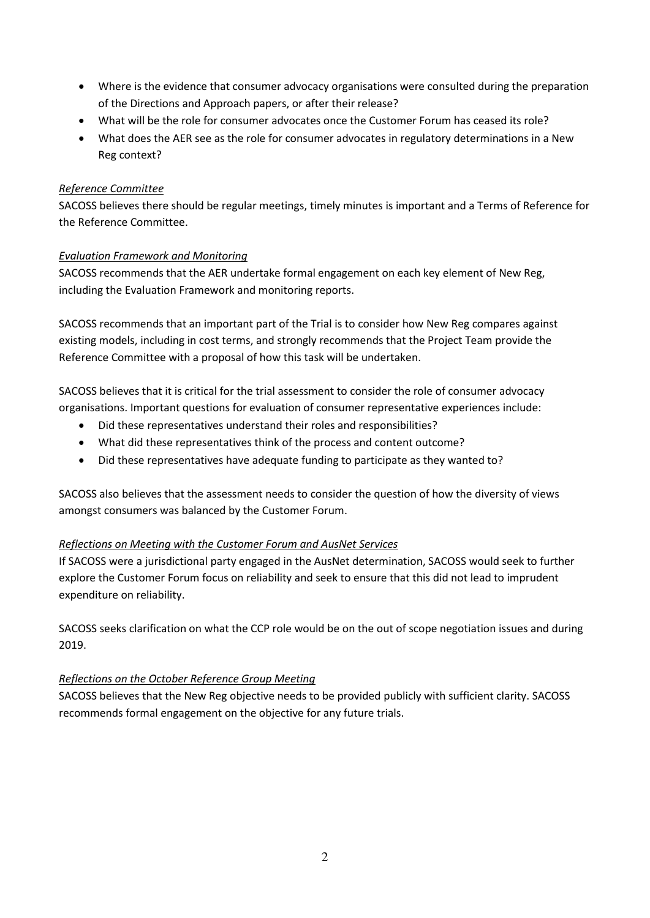- Where is the evidence that consumer advocacy organisations were consulted during the preparation of the Directions and Approach papers, or after their release?
- What will be the role for consumer advocates once the Customer Forum has ceased its role?
- What does the AER see as the role for consumer advocates in regulatory determinations in a New Reg context?

### *Reference Committee*

SACOSS believes there should be regular meetings, timely minutes is important and a Terms of Reference for the Reference Committee.

#### *Evaluation Framework and Monitoring*

SACOSS recommends that the AER undertake formal engagement on each key element of New Reg, including the Evaluation Framework and monitoring reports.

SACOSS recommends that an important part of the Trial is to consider how New Reg compares against existing models, including in cost terms, and strongly recommends that the Project Team provide the Reference Committee with a proposal of how this task will be undertaken.

SACOSS believes that it is critical for the trial assessment to consider the role of consumer advocacy organisations. Important questions for evaluation of consumer representative experiences include:

- Did these representatives understand their roles and responsibilities?
- What did these representatives think of the process and content outcome?
- Did these representatives have adequate funding to participate as they wanted to?

SACOSS also believes that the assessment needs to consider the question of how the diversity of views amongst consumers was balanced by the Customer Forum.

### *Reflections on Meeting with the Customer Forum and AusNet Services*

If SACOSS were a jurisdictional party engaged in the AusNet determination, SACOSS would seek to further explore the Customer Forum focus on reliability and seek to ensure that this did not lead to imprudent expenditure on reliability.

SACOSS seeks clarification on what the CCP role would be on the out of scope negotiation issues and during 2019.

### *Reflections on the October Reference Group Meeting*

SACOSS believes that the New Reg objective needs to be provided publicly with sufficient clarity. SACOSS recommends formal engagement on the objective for any future trials.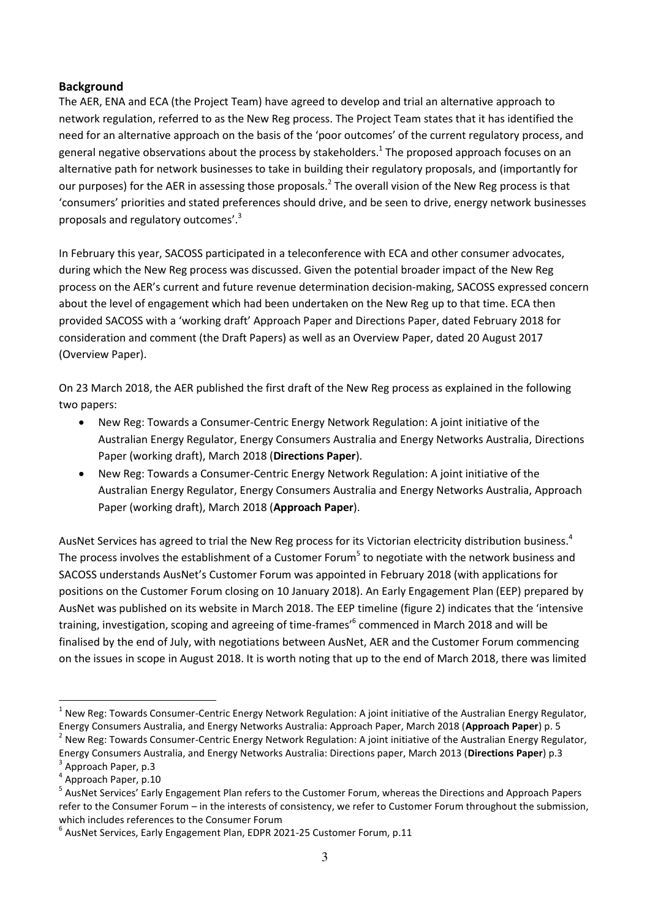### **Background**

The AER, ENA and ECA (the Project Team) have agreed to develop and trial an alternative approach to network regulation, referred to as the New Reg process. The Project Team states that it has identified the need for an alternative approach on the basis of the 'poor outcomes' of the current regulatory process, and general negative observations about the process by stakeholders.<sup>1</sup> The proposed approach focuses on an alternative path for network businesses to take in building their regulatory proposals, and (importantly for our purposes) for the AER in assessing those proposals.<sup>2</sup> The overall vision of the New Reg process is that 'consumers' priorities and stated preferences should drive, and be seen to drive, energy network businesses proposals and regulatory outcomes'.<sup>3</sup>

In February this year, SACOSS participated in a teleconference with ECA and other consumer advocates, during which the New Reg process was discussed. Given the potential broader impact of the New Reg process on the AER's current and future revenue determination decision-making, SACOSS expressed concern about the level of engagement which had been undertaken on the New Reg up to that time. ECA then provided SACOSS with a 'working draft' Approach Paper and Directions Paper, dated February 2018 for consideration and comment (the Draft Papers) as well as an Overview Paper, dated 20 August 2017 (Overview Paper).

On 23 March 2018, the AER published the first draft of the New Reg process as explained in the following two papers:

- New Reg: Towards a Consumer-Centric Energy Network Regulation: A joint initiative of the Australian Energy Regulator, Energy Consumers Australia and Energy Networks Australia, Directions Paper (working draft), March 2018 (**Directions Paper**).
- New Reg: Towards a Consumer-Centric Energy Network Regulation: A joint initiative of the Australian Energy Regulator, Energy Consumers Australia and Energy Networks Australia, Approach Paper (working draft), March 2018 (**Approach Paper**).

AusNet Services has agreed to trial the New Reg process for its Victorian electricity distribution business.<sup>4</sup> The process involves the establishment of a Customer Forum<sup>5</sup> to negotiate with the network business and SACOSS understands AusNet's Customer Forum was appointed in February 2018 (with applications for positions on the Customer Forum closing on 10 January 2018). An Early Engagement Plan (EEP) prepared by AusNet was published on its website in March 2018. The EEP timeline (figure 2) indicates that the 'intensive training, investigation, scoping and agreeing of time-frames'<sup>6</sup> commenced in March 2018 and will be finalised by the end of July, with negotiations between AusNet, AER and the Customer Forum commencing on the issues in scope in August 2018. It is worth noting that up to the end of March 2018, there was limited

<sup>2</sup> New Reg: Towards Consumer-Centric Energy Network Regulation: A joint initiative of the Australian Energy Regulator, Energy Consumers Australia, and Energy Networks Australia: Directions paper, March 2013 (**Directions Paper**) p.3 3 Approach Paper, p.3

 $\overline{a}$ 

<sup>&</sup>lt;sup>1</sup> New Reg: Towards Consumer-Centric Energy Network Regulation: A joint initiative of the Australian Energy Regulator, Energy Consumers Australia, and Energy Networks Australia: Approach Paper, March 2018 (**Approach Paper**) p. 5

<sup>&</sup>lt;sup>4</sup> Approach Paper, p.10

<sup>&</sup>lt;sup>5</sup> AusNet Services' Early Engagement Plan refers to the Customer Forum, whereas the Directions and Approach Papers refer to the Consumer Forum – in the interests of consistency, we refer to Customer Forum throughout the submission, which includes references to the Consumer Forum

<sup>&</sup>lt;sup>6</sup> AusNet Services, Early Engagement Plan, EDPR 2021-25 Customer Forum, p.11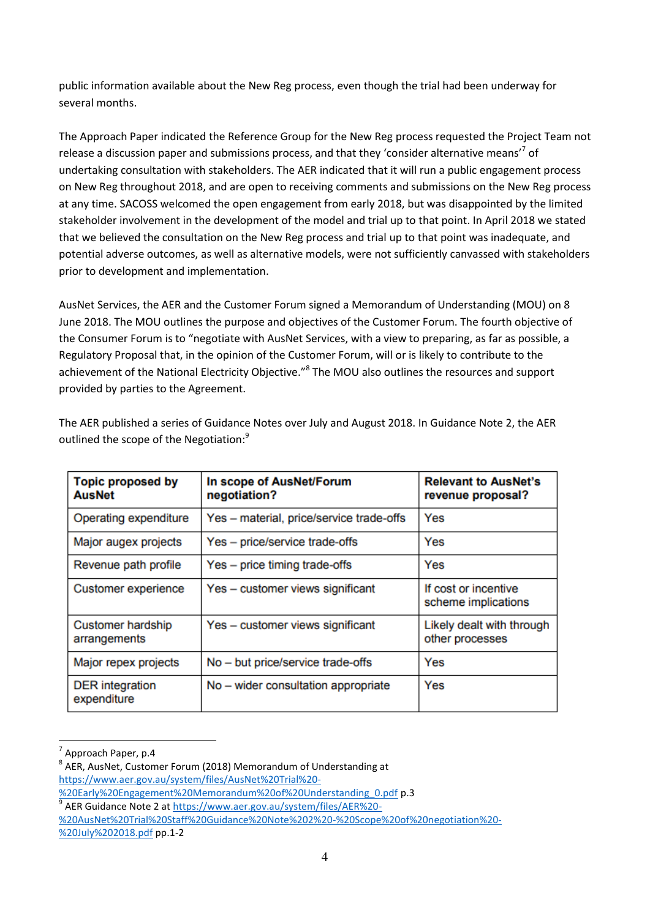public information available about the New Reg process, even though the trial had been underway for several months.

The Approach Paper indicated the Reference Group for the New Reg process requested the Project Team not release a discussion paper and submissions process, and that they 'consider alternative means'<sup>7</sup> of undertaking consultation with stakeholders. The AER indicated that it will run a public engagement process on New Reg throughout 2018, and are open to receiving comments and submissions on the New Reg process at any time. SACOSS welcomed the open engagement from early 2018, but was disappointed by the limited stakeholder involvement in the development of the model and trial up to that point. In April 2018 we stated that we believed the consultation on the New Reg process and trial up to that point was inadequate, and potential adverse outcomes, as well as alternative models, were not sufficiently canvassed with stakeholders prior to development and implementation.

AusNet Services, the AER and the Customer Forum signed a Memorandum of Understanding (MOU) on 8 June 2018. The MOU outlines the purpose and objectives of the Customer Forum. The fourth objective of the Consumer Forum is to "negotiate with AusNet Services, with a view to preparing, as far as possible, a Regulatory Proposal that, in the opinion of the Customer Forum, will or is likely to contribute to the achievement of the National Electricity Objective.<sup>18</sup> The MOU also outlines the resources and support provided by parties to the Agreement.

| <b>Topic proposed by</b><br><b>AusNet</b> | In scope of AusNet/Forum<br>negotiation? | <b>Relevant to AusNet's</b><br>revenue proposal? |
|-------------------------------------------|------------------------------------------|--------------------------------------------------|
| Operating expenditure                     | Yes - material, price/service trade-offs | Yes                                              |
| Major augex projects                      | Yes - price/service trade-offs           | Yes                                              |
| Revenue path profile                      | Yes – price timing trade-offs            | Yes                                              |
| Customer experience                       | Yes - customer views significant         | If cost or incentive<br>scheme implications      |
| <b>Customer hardship</b><br>arrangements  | Yes - customer views significant         | Likely dealt with through<br>other processes     |
| Major repex projects                      | No - but price/service trade-offs        | Yes                                              |
| <b>DER</b> integration<br>expenditure     | No - wider consultation appropriate      | Yes                                              |

The AER published a series of Guidance Notes over July and August 2018. In Guidance Note 2, the AER outlined the scope of the Negotiation:<sup>9</sup>

 $\overline{a}$ 

 $<sup>7</sup>$  Approach Paper, p.4</sup>

<sup>&</sup>lt;sup>8</sup> AER, AusNet, Customer Forum (2018) Memorandum of Understanding at [https://www.aer.gov.au/system/files/AusNet%20Trial%20-](https://www.aer.gov.au/system/files/AusNet%20Trial%20-%20Early%20Engagement%20Memorandum%20of%20Understanding_0.pdf)

[<sup>%20</sup>Early%20Engagement%20Memorandum%20of%20Understanding\\_0.pdf](https://www.aer.gov.au/system/files/AusNet%20Trial%20-%20Early%20Engagement%20Memorandum%20of%20Understanding_0.pdf) p.3

<sup>9</sup> AER Guidance Note 2 a[t https://www.aer.gov.au/system/files/AER%20-](https://www.aer.gov.au/system/files/AER%20-%20AusNet%20Trial%20Staff%20Guidance%20Note%202%20-%20Scope%20of%20negotiation%20-%20July%202018.pdf)

[<sup>%20</sup>AusNet%20Trial%20Staff%20Guidance%20Note%202%20-%20Scope%20of%20negotiation%20-](https://www.aer.gov.au/system/files/AER%20-%20AusNet%20Trial%20Staff%20Guidance%20Note%202%20-%20Scope%20of%20negotiation%20-%20July%202018.pdf) [%20July%202018.pdf](https://www.aer.gov.au/system/files/AER%20-%20AusNet%20Trial%20Staff%20Guidance%20Note%202%20-%20Scope%20of%20negotiation%20-%20July%202018.pdf) pp.1-2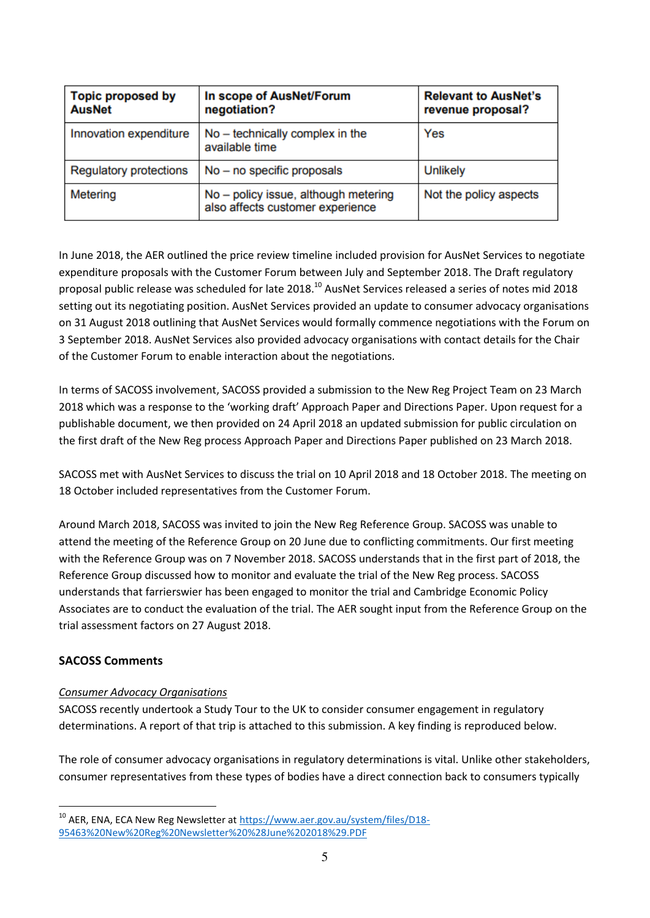| <b>Topic proposed by</b><br><b>AusNet</b> | In scope of AusNet/Forum<br>negotiation?                                 | <b>Relevant to AusNet's</b><br>revenue proposal? |
|-------------------------------------------|--------------------------------------------------------------------------|--------------------------------------------------|
| Innovation expenditure                    | No - technically complex in the<br>available time                        | Yes                                              |
| <b>Regulatory protections</b>             | $No - no specific proposals$                                             | <b>Unlikely</b>                                  |
| Metering                                  | No - policy issue, although metering<br>also affects customer experience | Not the policy aspects                           |

In June 2018, the AER outlined the price review timeline included provision for AusNet Services to negotiate expenditure proposals with the Customer Forum between July and September 2018. The Draft regulatory proposal public release was scheduled for late 2018.<sup>10</sup> AusNet Services released a series of notes mid 2018 setting out its negotiating position. AusNet Services provided an update to consumer advocacy organisations on 31 August 2018 outlining that AusNet Services would formally commence negotiations with the Forum on 3 September 2018. AusNet Services also provided advocacy organisations with contact details for the Chair of the Customer Forum to enable interaction about the negotiations.

In terms of SACOSS involvement, SACOSS provided a submission to the New Reg Project Team on 23 March 2018 which was a response to the 'working draft' Approach Paper and Directions Paper. Upon request for a publishable document, we then provided on 24 April 2018 an updated submission for public circulation on the first draft of the New Reg process Approach Paper and Directions Paper published on 23 March 2018.

SACOSS met with AusNet Services to discuss the trial on 10 April 2018 and 18 October 2018. The meeting on 18 October included representatives from the Customer Forum.

Around March 2018, SACOSS was invited to join the New Reg Reference Group. SACOSS was unable to attend the meeting of the Reference Group on 20 June due to conflicting commitments. Our first meeting with the Reference Group was on 7 November 2018. SACOSS understands that in the first part of 2018, the Reference Group discussed how to monitor and evaluate the trial of the New Reg process. SACOSS understands that farrierswier has been engaged to monitor the trial and Cambridge Economic Policy Associates are to conduct the evaluation of the trial. The AER sought input from the Reference Group on the trial assessment factors on 27 August 2018.

## **SACOSS Comments**

 $\overline{a}$ 

### *Consumer Advocacy Organisations*

SACOSS recently undertook a Study Tour to the UK to consider consumer engagement in regulatory determinations. A report of that trip is attached to this submission. A key finding is reproduced below.

The role of consumer advocacy organisations in regulatory determinations is vital. Unlike other stakeholders, consumer representatives from these types of bodies have a direct connection back to consumers typically

<sup>&</sup>lt;sup>10</sup> AER, ENA, ECA New Reg Newsletter a[t https://www.aer.gov.au/system/files/D18-](https://www.aer.gov.au/system/files/D18-95463%20New%20Reg%20Newsletter%20%28June%202018%29.PDF) [95463%20New%20Reg%20Newsletter%20%28June%202018%29.PDF](https://www.aer.gov.au/system/files/D18-95463%20New%20Reg%20Newsletter%20%28June%202018%29.PDF)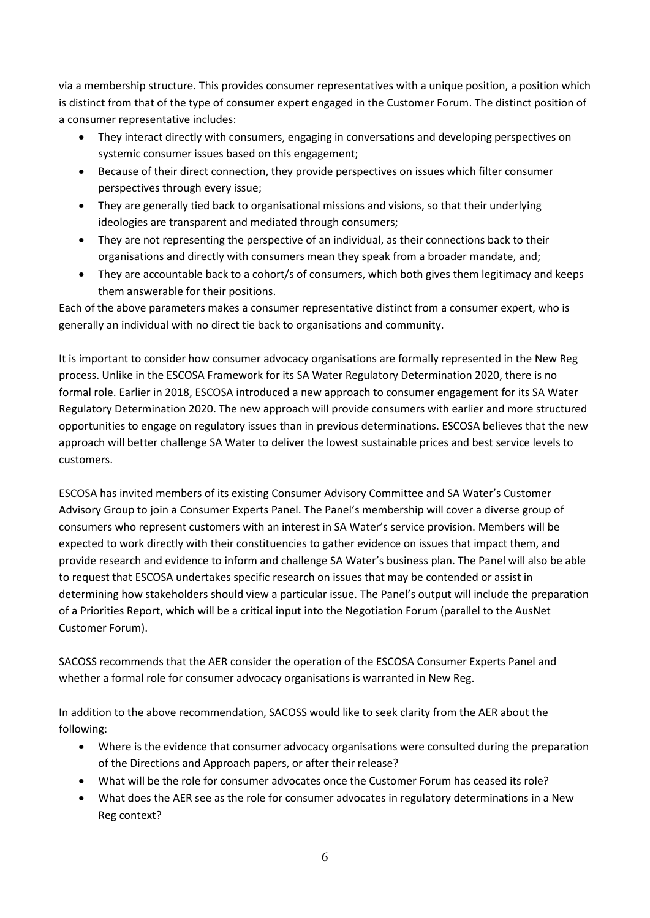via a membership structure. This provides consumer representatives with a unique position, a position which is distinct from that of the type of consumer expert engaged in the Customer Forum. The distinct position of a consumer representative includes:

- They interact directly with consumers, engaging in conversations and developing perspectives on systemic consumer issues based on this engagement;
- Because of their direct connection, they provide perspectives on issues which filter consumer perspectives through every issue;
- They are generally tied back to organisational missions and visions, so that their underlying ideologies are transparent and mediated through consumers;
- They are not representing the perspective of an individual, as their connections back to their organisations and directly with consumers mean they speak from a broader mandate, and;
- They are accountable back to a cohort/s of consumers, which both gives them legitimacy and keeps them answerable for their positions.

Each of the above parameters makes a consumer representative distinct from a consumer expert, who is generally an individual with no direct tie back to organisations and community.

It is important to consider how consumer advocacy organisations are formally represented in the New Reg process. Unlike in the ESCOSA Framework for its SA Water Regulatory Determination 2020, there is no formal role. Earlier in 2018, ESCOSA introduced a new approach to consumer engagement for its SA Water Regulatory Determination 2020. The new approach will provide consumers with earlier and more structured opportunities to engage on regulatory issues than in previous determinations. ESCOSA believes that the new approach will better challenge SA Water to deliver the lowest sustainable prices and best service levels to customers.

ESCOSA has invited members of its existing Consumer Advisory Committee and SA Water's Customer Advisory Group to join a Consumer Experts Panel. The Panel's membership will cover a diverse group of consumers who represent customers with an interest in SA Water's service provision. Members will be expected to work directly with their constituencies to gather evidence on issues that impact them, and provide research and evidence to inform and challenge SA Water's business plan. The Panel will also be able to request that ESCOSA undertakes specific research on issues that may be contended or assist in determining how stakeholders should view a particular issue. The Panel's output will include the preparation of a Priorities Report, which will be a critical input into the Negotiation Forum (parallel to the AusNet Customer Forum).

SACOSS recommends that the AER consider the operation of the ESCOSA Consumer Experts Panel and whether a formal role for consumer advocacy organisations is warranted in New Reg.

In addition to the above recommendation, SACOSS would like to seek clarity from the AER about the following:

- Where is the evidence that consumer advocacy organisations were consulted during the preparation of the Directions and Approach papers, or after their release?
- What will be the role for consumer advocates once the Customer Forum has ceased its role?
- What does the AER see as the role for consumer advocates in regulatory determinations in a New Reg context?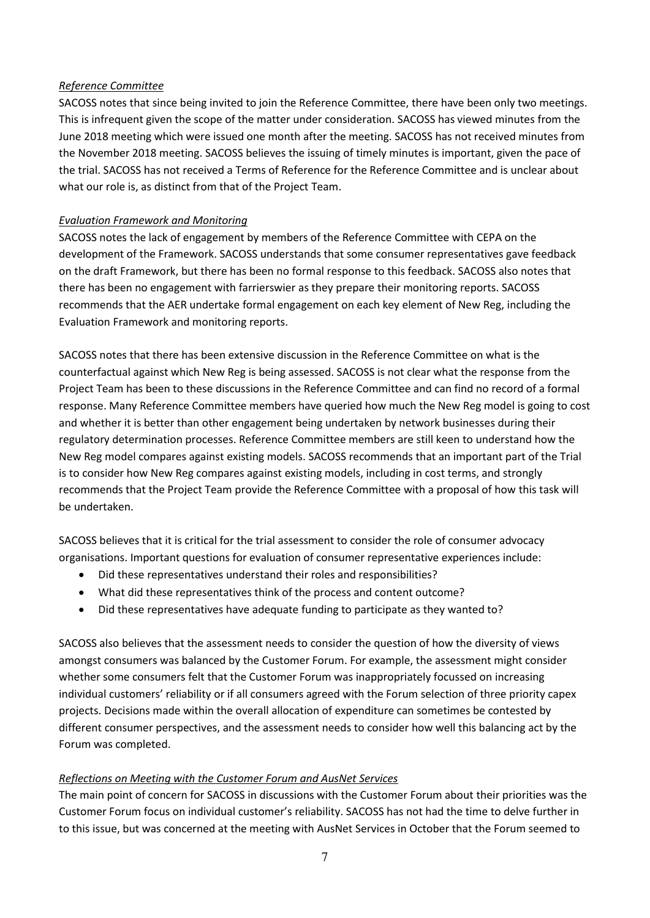#### *Reference Committee*

SACOSS notes that since being invited to join the Reference Committee, there have been only two meetings. This is infrequent given the scope of the matter under consideration. SACOSS has viewed minutes from the June 2018 meeting which were issued one month after the meeting. SACOSS has not received minutes from the November 2018 meeting. SACOSS believes the issuing of timely minutes is important, given the pace of the trial. SACOSS has not received a Terms of Reference for the Reference Committee and is unclear about what our role is, as distinct from that of the Project Team.

### *Evaluation Framework and Monitoring*

SACOSS notes the lack of engagement by members of the Reference Committee with CEPA on the development of the Framework. SACOSS understands that some consumer representatives gave feedback on the draft Framework, but there has been no formal response to this feedback. SACOSS also notes that there has been no engagement with farrierswier as they prepare their monitoring reports. SACOSS recommends that the AER undertake formal engagement on each key element of New Reg, including the Evaluation Framework and monitoring reports.

SACOSS notes that there has been extensive discussion in the Reference Committee on what is the counterfactual against which New Reg is being assessed. SACOSS is not clear what the response from the Project Team has been to these discussions in the Reference Committee and can find no record of a formal response. Many Reference Committee members have queried how much the New Reg model is going to cost and whether it is better than other engagement being undertaken by network businesses during their regulatory determination processes. Reference Committee members are still keen to understand how the New Reg model compares against existing models. SACOSS recommends that an important part of the Trial is to consider how New Reg compares against existing models, including in cost terms, and strongly recommends that the Project Team provide the Reference Committee with a proposal of how this task will be undertaken.

SACOSS believes that it is critical for the trial assessment to consider the role of consumer advocacy organisations. Important questions for evaluation of consumer representative experiences include:

- Did these representatives understand their roles and responsibilities?
- What did these representatives think of the process and content outcome?
- Did these representatives have adequate funding to participate as they wanted to?

SACOSS also believes that the assessment needs to consider the question of how the diversity of views amongst consumers was balanced by the Customer Forum. For example, the assessment might consider whether some consumers felt that the Customer Forum was inappropriately focussed on increasing individual customers' reliability or if all consumers agreed with the Forum selection of three priority capex projects. Decisions made within the overall allocation of expenditure can sometimes be contested by different consumer perspectives, and the assessment needs to consider how well this balancing act by the Forum was completed.

### *Reflections on Meeting with the Customer Forum and AusNet Services*

The main point of concern for SACOSS in discussions with the Customer Forum about their priorities was the Customer Forum focus on individual customer's reliability. SACOSS has not had the time to delve further in to this issue, but was concerned at the meeting with AusNet Services in October that the Forum seemed to